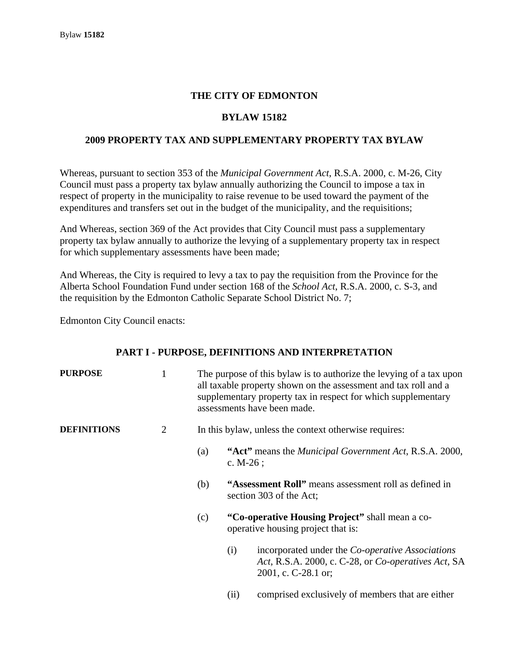### **THE CITY OF EDMONTON**

### **BYLAW 15182**

### **2009 PROPERTY TAX AND SUPPLEMENTARY PROPERTY TAX BYLAW**

Whereas, pursuant to section 353 of the *Municipal Government Act*, R.S.A. 2000, c. M-26, City Council must pass a property tax bylaw annually authorizing the Council to impose a tax in respect of property in the municipality to raise revenue to be used toward the payment of the expenditures and transfers set out in the budget of the municipality, and the requisitions;

And Whereas, section 369 of the Act provides that City Council must pass a supplementary property tax bylaw annually to authorize the levying of a supplementary property tax in respect for which supplementary assessments have been made;

And Whereas, the City is required to levy a tax to pay the requisition from the Province for the Alberta School Foundation Fund under section 168 of the *School Act*, R.S.A. 2000, c. S-3, and the requisition by the Edmonton Catholic Separate School District No. 7;

Edmonton City Council enacts:

### **PART I - PURPOSE, DEFINITIONS AND INTERPRETATION**

| <b>PURPOSE</b>     |   | The purpose of this bylaw is to authorize the levying of a tax upon<br>all taxable property shown on the assessment and tax roll and a<br>supplementary property tax in respect for which supplementary<br>assessments have been made. |                                                                                  |                                                                                                                                       |  |  |
|--------------------|---|----------------------------------------------------------------------------------------------------------------------------------------------------------------------------------------------------------------------------------------|----------------------------------------------------------------------------------|---------------------------------------------------------------------------------------------------------------------------------------|--|--|
| <b>DEFINITIONS</b> | 2 |                                                                                                                                                                                                                                        | In this bylaw, unless the context otherwise requires:                            |                                                                                                                                       |  |  |
|                    |   | (a)                                                                                                                                                                                                                                    | c. $M-26$ ;                                                                      | "Act" means the <i>Municipal Government Act</i> , R.S.A. 2000,                                                                        |  |  |
|                    |   | (b)                                                                                                                                                                                                                                    | "Assessment Roll" means assessment roll as defined in<br>section 303 of the Act; |                                                                                                                                       |  |  |
|                    |   | (c)                                                                                                                                                                                                                                    |                                                                                  | "Co-operative Housing Project" shall mean a co-<br>operative housing project that is:                                                 |  |  |
|                    |   |                                                                                                                                                                                                                                        | (i)                                                                              | incorporated under the <i>Co-operative Associations</i><br>Act, R.S.A. 2000, c. C-28, or Co-operatives Act, SA<br>2001, c. C-28.1 or; |  |  |

(ii) comprised exclusively of members that are either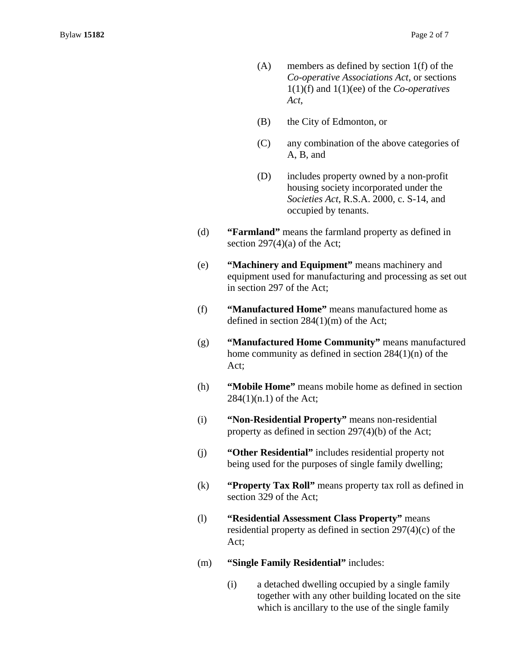- (A) members as defined by section 1(f) of the *Co-operative Associations Act*, or sections 1(1)(f) and 1(1)(ee) of the *Co-operatives Act*,
- (B) the City of Edmonton, or
- (C) any combination of the above categories of A, B, and
- (D) includes property owned by a non-profit housing society incorporated under the *Societies Act*, R.S.A. 2000, c. S-14, and occupied by tenants.
- (d) **"Farmland"** means the farmland property as defined in section 297(4)(a) of the Act;
- (e) **"Machinery and Equipment"** means machinery and equipment used for manufacturing and processing as set out in section 297 of the Act;
- (f) **"Manufactured Home"** means manufactured home as defined in section 284(1)(m) of the Act;
- (g) **"Manufactured Home Community"** means manufactured home community as defined in section 284(1)(n) of the Act;
- (h) **"Mobile Home"** means mobile home as defined in section 284(1)(n.1) of the Act;
- (i) **"Non-Residential Property"** means non-residential property as defined in section 297(4)(b) of the Act;
- (j) **"Other Residential"** includes residential property not being used for the purposes of single family dwelling;
- (k) **"Property Tax Roll"** means property tax roll as defined in section 329 of the Act;
- (l) **"Residential Assessment Class Property"** means residential property as defined in section 297(4)(c) of the Act;
- (m) **"Single Family Residential"** includes:
	- (i) a detached dwelling occupied by a single family together with any other building located on the site which is ancillary to the use of the single family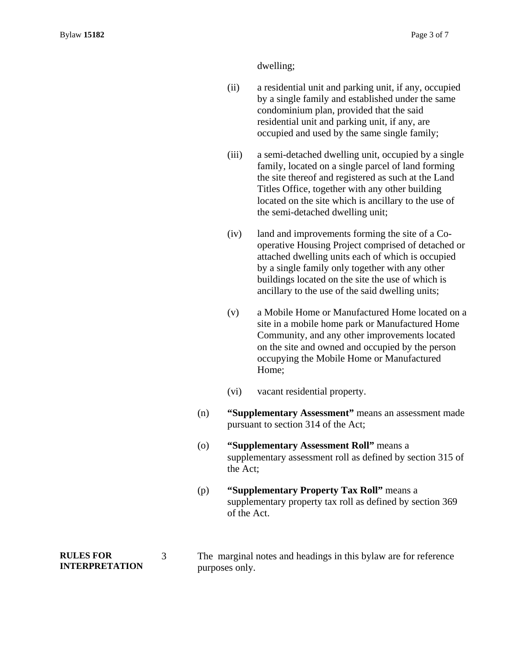dwelling;

(ii) a residential unit and parking unit, if any, occupied by a single family and established under the same condominium plan, provided that the said residential unit and parking unit, if any, are occupied and used by the same single family;

- (iii) a semi-detached dwelling unit, occupied by a single family, located on a single parcel of land forming the site thereof and registered as such at the Land Titles Office, together with any other building located on the site which is ancillary to the use of the semi-detached dwelling unit;
- (iv) land and improvements forming the site of a Cooperative Housing Project comprised of detached or attached dwelling units each of which is occupied by a single family only together with any other buildings located on the site the use of which is ancillary to the use of the said dwelling units;
- (v) a Mobile Home or Manufactured Home located on a site in a mobile home park or Manufactured Home Community, and any other improvements located on the site and owned and occupied by the person occupying the Mobile Home or Manufactured Home;
- (vi) vacant residential property.
- (n) **"Supplementary Assessment"** means an assessment made pursuant to section 314 of the Act;
- (o) **"Supplementary Assessment Roll"** means a supplementary assessment roll as defined by section 315 of the Act;
- (p) **"Supplementary Property Tax Roll"** means a supplementary property tax roll as defined by section 369 of the Act.
- **RULES FOR INTERPRETATION**  3 The marginal notes and headings in this bylaw are for reference purposes only.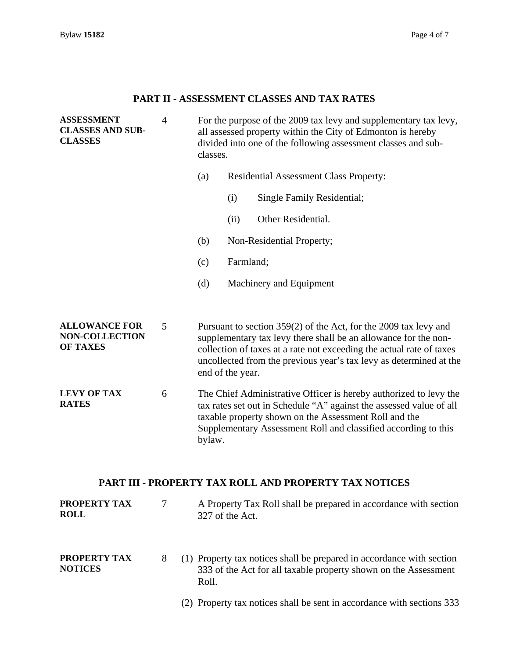# **PART II - ASSESSMENT CLASSES AND TAX RATES**

| <b>ASSESSMENT</b><br><b>CLASSES AND SUB-</b><br><b>CLASSES</b>   | $\overline{4}$ | For the purpose of the 2009 tax levy and supplementary tax levy,<br>all assessed property within the City of Edmonton is hereby<br>divided into one of the following assessment classes and sub-<br>classes. |                                                                                                                                                                                                                                                                     |                                                                                                                                                                                                                                                                                   |  |  |
|------------------------------------------------------------------|----------------|--------------------------------------------------------------------------------------------------------------------------------------------------------------------------------------------------------------|---------------------------------------------------------------------------------------------------------------------------------------------------------------------------------------------------------------------------------------------------------------------|-----------------------------------------------------------------------------------------------------------------------------------------------------------------------------------------------------------------------------------------------------------------------------------|--|--|
|                                                                  |                | (a)                                                                                                                                                                                                          | <b>Residential Assessment Class Property:</b>                                                                                                                                                                                                                       |                                                                                                                                                                                                                                                                                   |  |  |
|                                                                  |                |                                                                                                                                                                                                              | (i)                                                                                                                                                                                                                                                                 | Single Family Residential;                                                                                                                                                                                                                                                        |  |  |
|                                                                  |                |                                                                                                                                                                                                              | (ii)                                                                                                                                                                                                                                                                | Other Residential.                                                                                                                                                                                                                                                                |  |  |
|                                                                  |                | (b)                                                                                                                                                                                                          |                                                                                                                                                                                                                                                                     | Non-Residential Property;                                                                                                                                                                                                                                                         |  |  |
|                                                                  |                | (c)                                                                                                                                                                                                          | Farmland;                                                                                                                                                                                                                                                           |                                                                                                                                                                                                                                                                                   |  |  |
|                                                                  |                | (d)                                                                                                                                                                                                          |                                                                                                                                                                                                                                                                     | Machinery and Equipment                                                                                                                                                                                                                                                           |  |  |
|                                                                  |                |                                                                                                                                                                                                              |                                                                                                                                                                                                                                                                     |                                                                                                                                                                                                                                                                                   |  |  |
| <b>ALLOWANCE FOR</b><br><b>NON-COLLECTION</b><br><b>OF TAXES</b> | 5              |                                                                                                                                                                                                              | end of the year.                                                                                                                                                                                                                                                    | Pursuant to section 359(2) of the Act, for the 2009 tax levy and<br>supplementary tax levy there shall be an allowance for the non-<br>collection of taxes at a rate not exceeding the actual rate of taxes<br>uncollected from the previous year's tax levy as determined at the |  |  |
| <b>LEVY OF TAX</b><br><b>RATES</b>                               | 6              | bylaw.                                                                                                                                                                                                       | The Chief Administrative Officer is hereby authorized to levy the<br>tax rates set out in Schedule "A" against the assessed value of all<br>taxable property shown on the Assessment Roll and the<br>Supplementary Assessment Roll and classified according to this |                                                                                                                                                                                                                                                                                   |  |  |

# **PART III - PROPERTY TAX ROLL AND PROPERTY TAX NOTICES**

| PROPERTY TAX<br><b>ROLL</b>           |   | A Property Tax Roll shall be prepared in accordance with section<br>327 of the Act.                                                               |
|---------------------------------------|---|---------------------------------------------------------------------------------------------------------------------------------------------------|
| <b>PROPERTY TAX</b><br><b>NOTICES</b> | 8 | (1) Property tax notices shall be prepared in accordance with section<br>333 of the Act for all taxable property shown on the Assessment<br>Roll. |
|                                       |   | (2) Property tax notices shall be sent in accordance with sections 333                                                                            |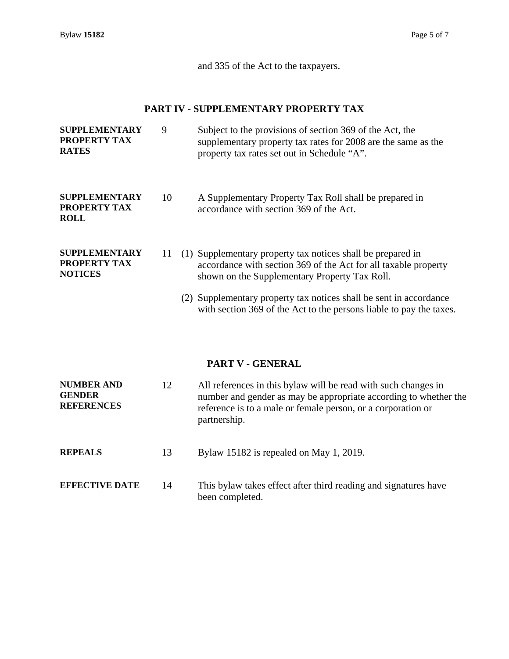and 335 of the Act to the taxpayers.

### **PART IV - SUPPLEMENTARY PROPERTY TAX**

| <b>SUPPLEMENTARY</b><br>PROPERTY TAX<br><b>RATES</b>          |    | Subject to the provisions of section 369 of the Act, the<br>supplementary property tax rates for 2008 are the same as the<br>property tax rates set out in Schedule "A".        |  |  |  |  |
|---------------------------------------------------------------|----|---------------------------------------------------------------------------------------------------------------------------------------------------------------------------------|--|--|--|--|
| <b>SUPPLEMENTARY</b><br><b>PROPERTY TAX</b><br><b>ROLL</b>    | 10 | A Supplementary Property Tax Roll shall be prepared in<br>accordance with section 369 of the Act.                                                                               |  |  |  |  |
| <b>SUPPLEMENTARY</b><br><b>PROPERTY TAX</b><br><b>NOTICES</b> | 11 | (1) Supplementary property tax notices shall be prepared in<br>accordance with section 369 of the Act for all taxable property<br>shown on the Supplementary Property Tax Roll. |  |  |  |  |
|                                                               |    | (2) Supplementary property tax notices shall be sent in accordance<br>with section 369 of the Act to the persons liable to pay the taxes.                                       |  |  |  |  |

### **PART V - GENERAL**

| <b>NUMBER AND</b><br>12<br><b>GENDER</b><br><b>REFERENCES</b> |    | All references in this bylaw will be read with such changes in<br>number and gender as may be appropriate according to whether the<br>reference is to a male or female person, or a corporation or<br>partnership. |
|---------------------------------------------------------------|----|--------------------------------------------------------------------------------------------------------------------------------------------------------------------------------------------------------------------|
| <b>REPEALS</b>                                                | 13 | Bylaw 15182 is repealed on May 1, 2019.                                                                                                                                                                            |
| <b>EFFECTIVE DATE</b>                                         | 14 | This by law takes effect after third reading and signatures have<br>been completed.                                                                                                                                |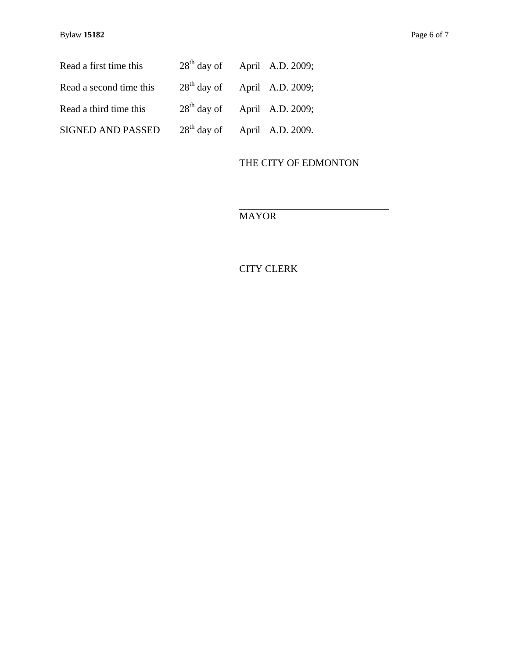| Read a first time this   | $28th$ day of April A.D. 2009; |  |
|--------------------------|--------------------------------|--|
| Read a second time this  | $28th$ day of April A.D. 2009; |  |
| Read a third time this   | $28th$ day of April A.D. 2009; |  |
| <b>SIGNED AND PASSED</b> | $28th$ day of April A.D. 2009. |  |

# THE CITY OF EDMONTON

MAYOR

 $\overline{a}$ 

 $\overline{a}$ 

CITY CLERK